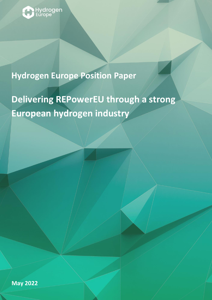

# **Hydrogen Europe Position Paper**

**Delivering REPowerEU through a strong European hydrogen industry**

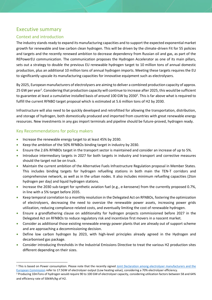# Executive summary

#### Context and introduction

The industry stands ready to expand its manufacturing capacities and to support the expected exponential market growth for renewable and low carbon clean hydrogen. This will be driven by the climate-driven Fit for 55 policies and targets and the recently renewed ambition to decrease dependency from Russian oil and gas, as part of the REPowerEU communication. The communication proposes the Hydrogen Accelerator as one of its main pillars, sets out a strategy to double the previous EU renewable hydrogen target to 10 million tons of annual domestic production, plus an additional 10 million tons of annual hydrogen imports. Meeting these targets requires the EU to significantly upscale its manufacturing capacities for innovative equipment such as electrolysers.

By 2025, European manufacturers of electrolysers are aiming to deliver a combined production capacity of approx. 25 GW per year<sup>1</sup>. Considering that production capacity will continue to increase after 2025, this would be sufficient to guarantee at least a cumulative installed basis of around 100 GW by 2030<sup>2</sup>. This is far above what is required to fulfill the current RFNBO target proposal which is estimated at 5.6 million tons of H2 by 2030.

Infrastructure will also need to be quickly developed and retrofitted for allowing the transportation, distribution, and storage of hydrogen, both domestically produced and imported from countries with great renewable energy resources. New investments in any gas import terminals and pipeline should be future-proved, hydrogen ready.

#### Key Recommendations for policy makers

- Increase the renewable energy target to at least 45% by 2030.
- Keep the ambition of the 50% RFNBOs binding target in industry by 2030.
- Ensure the 2.6% RFNBOs target in the transport sector is maintained and consider an increase of up to 5%.
- Introduce intermediary targets in 2027 for both targets in industry and transport and corrective measures should the target not be on truck.
- Maintain the current ambition of the Alternative Fuels Infrastructure Regulation proposal in Member States. This includes binding targets for hydrogen refuelling stations in both main the TEN-T corridors and comprehensive network, as well as in the urban nodes. It also includes minimum refuelling capacities (2ton hydrogen per day) and liquid hydrogen stations.
- Increase the 2030 sub-target for synthetic aviation fuel (e.g., e-kerosene) from the currently proposed 0.7%, in line with a 5% target before 2035.
- Keep temporal correlation to a monthly resolution in the Delegated Act on RFNBOs, fostering the optimization of electrolysers, decreasing the need to oversize the renewable power assets, increasing power grids utilization, reducing compliance-related costs, and eventually limiting the cost of renewable hydrogen.
- Ensure a grandfathering clause on additionality for hydrogen projects commissioned before 2027 in the Delegated Act on RFNBOs to reduce regulatory risk and incentivize first movers in a nascent market.
- Consider as additional those existing renewable energy power plants that are already out of support scheme and are approaching a decommissioning decision.
- Define low carbon hydrogen by 2023, with high-level principles already agreed in the Hydrogen and decarbonised gas package.
- Consider introducing thresholds in the Industrial Emissions Directive to treat the various H2 production sites different depending on their sizes.

<sup>&</sup>lt;sup>1</sup> This is based on Power consumption. Please note that the recently signed Joint Declaration among electrolyser manufacturers and the [European Commission](https://ec.europa.eu/commission/presscorner/detail/en/ip_22_2829) refer to 17.5GW of electrolyser output (Low heating value), considering a 70% electrolyser efficiency.

<sup>&</sup>lt;sup>2</sup> Producing 10mTons of hydrogen would require 90 to 100 GW of electrolyser capacity, considering utilization factors between 58 and 64% and efficiency rate of 50kWh/kg of H2.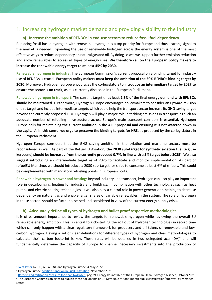# 1. Increasing hydrogen market demand and providing visibility to the industry

#### **a) Increase the ambition of RFNBOs in end-use sectors to reduce fossil fuel dependency**

Replacing fossil-based hydrogen with renewable hydrogen is a top priority for Europe and thus a strong signal to the market is needed. Expanding the use of renewable hydrogen across the energy system is one of the most effective ways to reduce dependency on natural gas and oil. By doing so we, we support further emission reduction and allow renewables to access all types of energy uses. **We therefore call on the European policy makers to increase the renewable energy target to at least 45% by 2030.** 

**Renewable hydrogen in industry:** The European Commission's current proposal on a binding target for industry use of RFNBOs is crucial. **European policy makers must keep the ambition of the 50% RFNBOs binding target by 2030**. Moreover, Hydrogen Europe encourages the co-legislators to **introduce an intermediary target by 2027 to ensure the sector is on track**, as it is currently discussed in the European Parliament.

**Renewable hydrogen in transport**: The current target of **at least 2.6% of the final energy demand with RFNBOs should be maintained**. Furthermore, Hydrogen Europe encourages policymakers to consider an upward revision of this target and include intermediate targets which could help the transport sector increase its GHG saving target beyond the currently proposed 13%. Hydrogen will play a major role in tackling emissions in transport, as such an adequate number of refueling infrastructure across Europe's main transport corridors is essential. Hydrogen Europe calls for maintaining **the current ambition in the AFIR proposal and ensuring it is not watered down in the capitals<sup>3</sup> . In this sense, we urge to preserve the binding targets for HRS**, as proposed by the co-legislators in the European Parliament.

Hydrogen Europe considers that the GHG saving ambition in the aviation and maritime sectors must be reconsidered as well. As part of the ReFuelEU Aviation**, the 2030 sub-target for synthetic aviation fuel (e.g., ekerosene) should be increased from the currently proposed 0.7%, in line with a 5% target before 2035<sup>4</sup>. We also** suggest introducing an intermediate target as of 2025 to facilitate and monitor implementation. As part of refuelEU Maritime, we should introduce a 2030 sub-target for ships to consume at least 6% of e-fuels. This could be complemented with mandatory refueling points in European ports.

**Renewable hydrogen in power and heating**: Beyond industry and transport, hydrogen can also play an important role in decarbonising heating for industry and buildings, in combination with other technologies such as heat pumps and electric heating technologies. It will also play a central role in power generation<sup>5</sup>, helping to decrease dependency on natural gas and enable larger shares of variable renewables in the system. The role of hydrogen in these sectors should be further assessed and considered in view of the current energy supply crisis.

#### **b) Adequately define all types of hydrogen and bullet proof respective methodologies**

It is of paramount importance to review the targets for renewable hydrogen while reviewing the overall EU renewable energy ambition. This is central to kick-starting the roll out of hydrogen technologies in record time which can only happen with a clear regulatory framework for producers and off takers of renewable and lowcarbon hydrogen. Having a set of clear definitions for different types of hydrogen and clear methodologies to calculate their carbon footprint is key. These rules will be detailed in two delegated acts  $(DA)^6$  and will fundamentally determine the capacity of Europe to channel necessary investments into the production of

<sup>6</sup> The European Commission plans to publish these documents on 18 May 2022 for one-month public consultation/approval by Member states

<sup>&</sup>lt;sup>3</sup> [Joint letter](https://hydrogeneurope.eu/wp-content/uploads/2022/05/Joint-letter-on-alternative-fuels-infrastructure.pdf) by IRU, ACEA, T&E and Hydrogen Europe, 4 May 2022

<sup>4</sup> Hydrogen Europe [position paper on ReFuelEU Aviation,](https://hydrogeneurope.eu/wp-content/uploads/2021/12/HydrogenEurope-ReFuelEU-Aviation-position-paper.pdf) November 2021,

<sup>5</sup> [Barriers and mitigation Measure for clean hydrogen,](https://ec.europa.eu/growth/document/download/5b759bcc-db55-49ad-b0d4-bf0e16255aab_en) pag.39, Energy Roundtable of the European Clean Hydrogen Alliance, October2021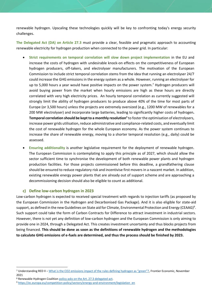renewable hydrogen. Upscaling these technologies quickly will be key to confronting today's energy security challenges.

**The Delegated Act (DA) on Article 27.3** must provide a clear, feasible and pragmatic approach to accounting renewable electricity for hydrogen production when connected to the power grid. In particular:

- **Strict requirements on temporal correlation will slow down project implementation** in the EU and increase the costs of hydrogen with undesirable knock-on effects on the competitiveness of European hydrogen producers, off-takers, and electrolyser manufacturers. The motivation of the European Commission to include strict temporal correlation stems from the idea that running an electrolyser 24/7 could increase the GHG emissions in the energy system as a whole. However, running an electrolyser for up to 5,000 hours a year would have positive impacts on the power system.<sup>7</sup> Hydrogen producers will avoid buying power from the market when hourly emissions are high as these hours are directly correlated with very high electricity prices. An hourly temporal correlation as currently suggested will strongly limit the ability of hydrogen producers to produce above 40% of the time for most parts of Europe (or 3,500 hours) unless the projects are extremely oversized (e.g., 1200 MW of renewables for a 200 MW electrolyser) and incorporate large batteries, leading to significantly higher costs of hydrogen**. Temporal correlation should be kept to a monthly resolution**<sup>8</sup> to foster the optimisation of electrolysers, increase power grids utilisation, reduce administrative and compliance-related costs, and eventually limit the cost of renewable hydrogen for the whole European economy. As the power system continues to increase the share of renewable energy, moving to a shorter temporal resolution (e.g., daily) could be assessed.
- **Ensuring additionality** is another legislative requirement for the deployment of renewable hydrogen. The European Commission is contemplating to apply this principle as of 2027, which should allow the sector sufficient time to synchronise the development of both renewable power plants and hydrogen production facilities. For those projects commissioned before this deadline, a grandfathering clause should be ensured to reduce regulatory risk and incentivise first movers in a nascent market. In addition, existing renewable energy power plants that are already out of support scheme and are approaching a decommissioning decision should also be eligible to count as additional.

#### **c) Define low-carbon hydrogen in 2023**

Low-carbon hydrogen is expected to received special treatment with regards to injection tariffs (as proposed by the European Commission in the Hydrogen and Decarbonised Gas Package). And it is also eligible for state-aid support, as defined in the new Guidelines on State aid for Climate, Environmental Protection and Energy (CEAAG)<sup>9</sup>. Such support could take the form of Carbon Contracts for Difference to attract investment in industrial sectors. However, there is not yet any definition of low-carbon hydrogen and the European Commission is only aiming to provide one in 2024, through a Delegated Act. This creates investment uncertainty and thus blocks projects from being financed. **This should be done as soon as the definitions of renewable hydrogen and the methodologies to calculate GHG emissions of e-fuels are determined, and thus the process should be finished by 2023.**

<sup>7</sup> Understanding RED II - [What is the CO2 emissions impact of the rules defining hydrogen as "green"?](https://www.frontier-economics.com/uk/en/news-and-articles/news/news-article-i8947-what-is-the-co2-emissions-impact-of-the-rules-defining-hydrogen-as-green/), Frontier Economic, November 2021

<sup>8</sup> Renewable Hydrogen Coalition [policy asks on the Art. 27.3 delegated act.](https://renewableh2.eu/wp-content/uploads/RHC-letter-on-additionality_17.12.2021.pdf)

<sup>9</sup> [https://ec.europa.eu/competition-policy/sectors/energy-and-environment/legislation\\_en](https://ec.europa.eu/competition-policy/sectors/energy-and-environment/legislation_en)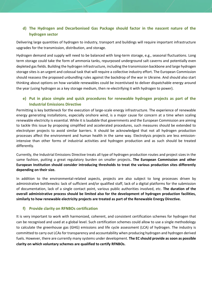#### **d) The Hydrogen and Decarbonised Gas Package should factor in the nascent nature of the hydrogen sector**

Delivering large quantities of hydrogen to industry, transport and buildings will require important infrastructure upgrades for the transmission, distribution, and storage.

Hydrogen demand and supply will need to be balanced with long-term storage, e.g., seasonal fluctuations. Long term storage could take the form of ammonia tanks, repurposed underground salt caverns and potentially even depleted gas fields. Building the hydrogen infrastructure, including the transmission backbone and large hydrogen storage sites is an urgent and colossal task that will require a collective industry effort. The European Commission should reassess the proposed unbundling rules against the backdrop of the war in Ukraine. And should also start thinking about options on how variable renewables could be incentivised to deliver dispatchable energy around the year (using hydrogen as a key storage medium, then re-electrifying it with hydrogen to power).

#### **e) Put in place simple and quick procedures for renewable hydrogen projects as part of the Industrial Emissions Directive**

Permitting is key bottleneck for the execution of large-scale energy infrastructure. The experience of renewable energy generating installations, especially onshore wind, is a major cause for concern at a time when scaling renewable electricity is essential. While it is laudable that governments and the European Commission are aiming to tackle this issue by proposing simplified and accelerated procedures, such measures should be extended to electrolyzer projects to avoid similar barriers. It should be acknowledged that not all hydrogen production processes affect the environment and human health in the same way. Electrolysis projects are less emissionintensive than other forms of industrial activities and hydrogen production and as such should be treated differently.

Currently, the Industrial Emissions Directive treats all type of hydrogen production routes and project sizes in the same fashion, putting a great regulatory burden on smaller projects**. The European Commission and other European Institution should consider introducing thresholds to treat the various production sites differently depending on their size.** 

In addition to the environmental-related aspects, projects are also subject to long processes driven by administrative bottlenecks: lack of sufficient and/or qualified staff, lack of a digital platforms for the submission of documentation, lack of a single contact point, various public authorities involved, etc. **The duration of the overall administrative process should be limited also for the development of hydrogen production facilities, similarly to how renewable electricity projects are treated as part of the Renewable Energy Directive.** 

#### **f) Provide clarity on RFNBOs certification**

It is very important to work with harmonized, coherent, and consistent certification schemes for hydrogen that can be recognised and used at a global level. Such certification schemes could allow to use a single methodology to calculate the greenhouse gas (GHG) emissions and life cycle assessment (LCA) of hydrogen. The industry is committed to carry out LCAs for transparency and accountability when producing hydrogen and hydrogen derived fuels. However, there are currently many systems under development. **The EC should provide as soon as possible clarity on which voluntary schemes are qualified to certify RFNBOs.**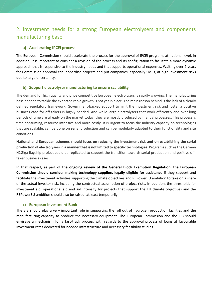# 2. Investment needs for a strong European electrolysers and components manufacturing base

#### **a) Accelerating IPCEI process**

The European Commission should accelerate the process for the approval of IPCEI programs at national level. In addition, it is important to consider a revision of the process and its configuration to facilitate a more dynamic approach that is responsive to the industry needs and that supports operational expenses. Waiting over 2 years for Commission approval can jeopardise projects and put companies, especially SMEs, at high investment risks due to large uncertainty.

#### **b) Support electrolyser manufacturing to ensure scalability**

The demand for high quality and price competitive European electrolysers is rapidly growing. The manufacturing base needed to tackle the expected rapid growth is not yet in place. The main reason behind is the lack of a clearly defined regulatory framework. Government-backed support to limit the investment risk and foster a positive business case for off-takers is highly needed. And while large electrolysers that work efficiently and over long periods of time are already on the market today, they are mostly produced by manual processes. This process is time-consuming, resource intensive and more costly. It is urgent to focus the industry capacity on technologies that are scalable, can be done on serial production and can be modularly adapted to their functionality and site conditions.

**National and European schemes should focus on reducing the investment risk and on establishing the serial production of electrolysers in a manner that is not limited to specific technologies**. Programs such as the German H2Giga flagship project could be replicated to support the transition towards serial production and positive offtaker business cases.

In that respect, as part of **the ongoing review of the General Block Exemption Regulation, the European Commission should consider making technology suppliers legally eligible for assistance** if they support and facilitate the investment activities supporting the climate objectives and REPowerEU ambition to take on a share of the actual investor risk, including the contractual assumption of project risks. In addition, the thresholds for investment aid, operational aid and aid intensity for projects that support the EU climate objectives and the REPowerEU ambition should also be raised, at least temporarily.

#### **c) European Investment Bank**

The EIB should play a very important role in supporting the roll out of hydrogen production facilities and the manufacturing capacity to produce the necessary equipment. The European Commission and the EIB should envisage a mechanism for a fast-track process with regards to the approval process of loans at favourable investment rates dedicated for needed infrastructure and necessary feasibility studies.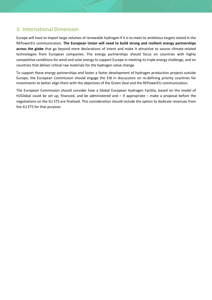## 3. International Dimension

Europe will have to import large volumes of renewable hydrogen if it is to meet its ambitious targets stated in the REPowerEU communication. **The European Union will need to build strong and resilient energy partnerships across the globe** that go beyond mere declarations of intent and make it attractive to source climate-related technologies from European companies. The energy partnerships should focus on countries with highly competitive conditions for wind and solar energy to support Europe in meeting its triple energy challenge, and on countries that deliver critical raw materials for the hydrogen value change.

To support these energy partnerships and foster a faster development of hydrogen production projects outside Europe, the European Commission should engage the EIB in discussions on re-defining priority countries for investments to better align them with the objectives of the Green Deal and the REPowerEU communication.

The European Commission should consider how a Global European Hydrogen Facility, based on the model of H2Global could be set up, financed, and be administered and – if appropriate – make a proposal before the negotiations on the EU ETS are finalised. This consideration should include the option to dedicate revenues from the EU ETS for that purpose.